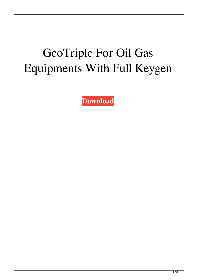## GeoTriple For Oil Gas Equipments With Full Keygen

**[Download](http://evacdir.com/ZG93bmxvYWR8VFE0TTNaNWVYeDhNVFkxTkRVeU1qRXhNSHg4TWpVM05IeDhLRTBwSUhKbFlXUXRZbXh2WnlCYlJtRnpkQ0JIUlU1ZA&mosi=coronations.cpas?R2VvVHJpcGxlIGZvciBPaWwgR2FzIEVxdWlwbWVudHMR2V=fuss)**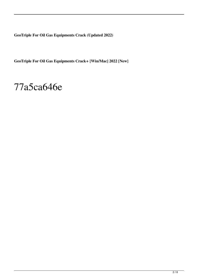**GeoTriple For Oil Gas Equipments Crack (Updated 2022)**

**GeoTriple For Oil Gas Equipments Crack+ [Win/Mac] 2022 [New]**

#### 77a5ca646e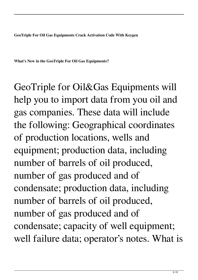**GeoTriple For Oil Gas Equipments Crack Activation Code With Keygen**

**What's New in the GeoTriple For Oil Gas Equipments?**

GeoTriple for Oil&Gas Equipments will help you to import data from you oil and gas companies. These data will include the following: Geographical coordinates of production locations, wells and equipment; production data, including number of barrels of oil produced, number of gas produced and of condensate; production data, including number of barrels of oil produced, number of gas produced and of condensate; capacity of well equipment; well failure data; operator's notes. What is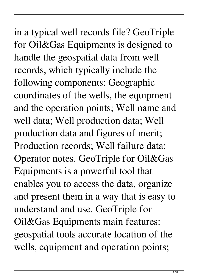### in a typical well records file? GeoTriple for Oil&Gas Equipments is designed to handle the geospatial data from well records, which typically include the following components: Geographic coordinates of the wells, the equipment and the operation points; Well name and well data; Well production data; Well production data and figures of merit; Production records; Well failure data; Operator notes. GeoTriple for Oil&Gas Equipments is a powerful tool that

enables you to access the data, organize and present them in a way that is easy to understand and use. GeoTriple for Oil&Gas Equipments main features: geospatial tools accurate location of the wells, equipment and operation points;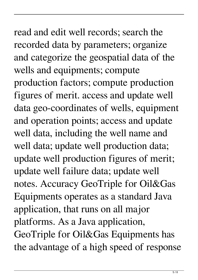# read and edit well records; search the recorded data by parameters; organize

and categorize the geospatial data of the wells and equipments; compute production factors; compute production figures of merit. access and update well data geo-coordinates of wells, equipment and operation points; access and update well data, including the well name and well data; update well production data; update well production figures of merit; update well failure data; update well notes. Accuracy GeoTriple for Oil&Gas Equipments operates as a standard Java application, that runs on all major platforms. As a Java application, GeoTriple for Oil&Gas Equipments has the advantage of a high speed of response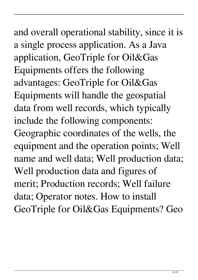### and overall operational stability, since it is a single process application. As a Java application, GeoTriple for Oil&Gas Equipments offers the following advantages: GeoTriple for Oil&Gas Equipments will handle the geospatial data from well records, which typically include the following components: Geographic coordinates of the wells, the equipment and the operation points; Well name and well data; Well production data; Well production data and figures of merit; Production records; Well failure data; Operator notes. How to install GeoTriple for Oil&Gas Equipments? Geo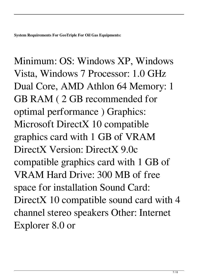Minimum: OS: Windows XP, Windows Vista, Windows 7 Processor: 1.0 GHz Dual Core, AMD Athlon 64 Memory: 1 GB RAM ( 2 GB recommended for optimal performance ) Graphics: Microsoft DirectX 10 compatible graphics card with 1 GB of VRAM DirectX Version: DirectX 9.0c compatible graphics card with 1 GB of VRAM Hard Drive: 300 MB of free space for installation Sound Card: DirectX 10 compatible sound card with 4 channel stereo speakers Other: Internet Explorer 8.0 or